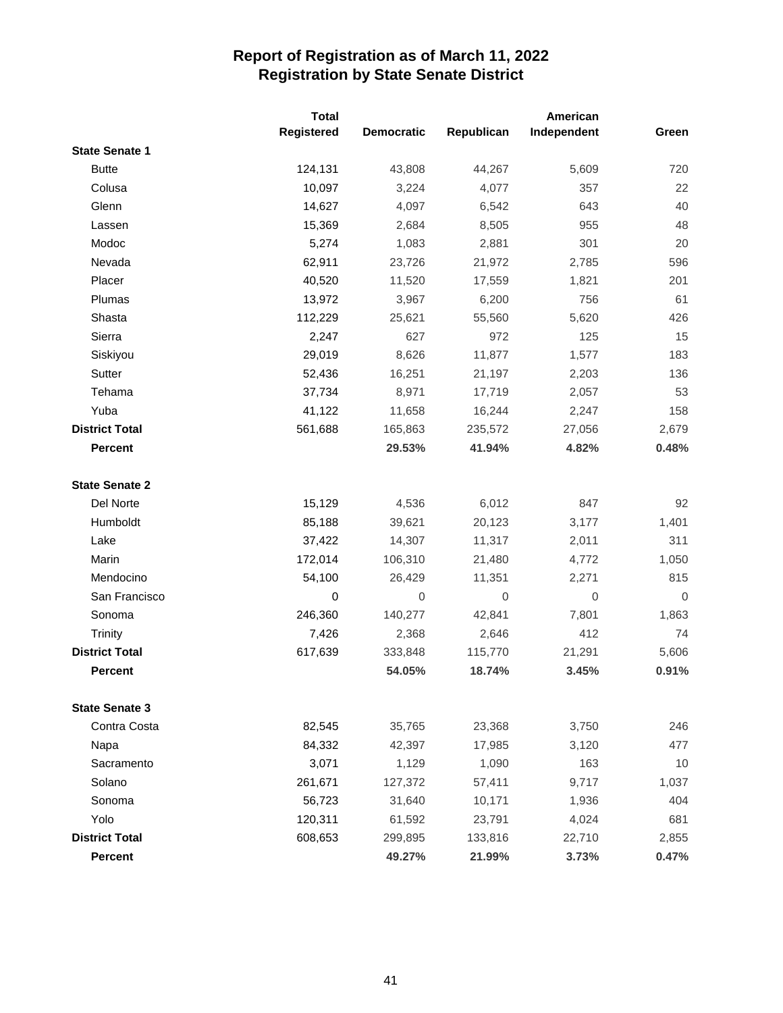|                       | <b>Total</b> |                   | American    |             |          |
|-----------------------|--------------|-------------------|-------------|-------------|----------|
|                       | Registered   | <b>Democratic</b> | Republican  | Independent | Green    |
| <b>State Senate 1</b> |              |                   |             |             |          |
| <b>Butte</b>          | 124,131      | 43,808            | 44,267      | 5,609       | 720      |
| Colusa                | 10,097       | 3,224             | 4,077       | 357         | 22       |
| Glenn                 | 14,627       | 4,097             | 6,542       | 643         | 40       |
| Lassen                | 15,369       | 2,684             | 8,505       | 955         | 48       |
| Modoc                 | 5,274        | 1,083             | 2,881       | 301         | 20       |
| Nevada                | 62,911       | 23,726            | 21,972      | 2,785       | 596      |
| Placer                | 40,520       | 11,520            | 17,559      | 1,821       | 201      |
| Plumas                | 13,972       | 3,967             | 6,200       | 756         | 61       |
| Shasta                | 112,229      | 25,621            | 55,560      | 5,620       | 426      |
| Sierra                | 2,247        | 627               | 972         | 125         | 15       |
| Siskiyou              | 29,019       | 8,626             | 11,877      | 1,577       | 183      |
| Sutter                | 52,436       | 16,251            | 21,197      | 2,203       | 136      |
| Tehama                | 37,734       | 8,971             | 17,719      | 2,057       | 53       |
| Yuba                  | 41,122       | 11,658            | 16,244      | 2,247       | 158      |
| <b>District Total</b> | 561,688      | 165,863           | 235,572     | 27,056      | 2,679    |
| <b>Percent</b>        |              | 29.53%            | 41.94%      | 4.82%       | 0.48%    |
| <b>State Senate 2</b> |              |                   |             |             |          |
| Del Norte             | 15,129       | 4,536             | 6,012       | 847         | 92       |
| Humboldt              | 85,188       | 39,621            | 20,123      | 3,177       | 1,401    |
| Lake                  | 37,422       | 14,307            | 11,317      | 2,011       | 311      |
| Marin                 | 172,014      | 106,310           | 21,480      | 4,772       | 1,050    |
| Mendocino             | 54,100       | 26,429            | 11,351      | 2,271       | 815      |
| San Francisco         | 0            | $\mathbf 0$       | $\mathbf 0$ | $\mathbf 0$ | $\Omega$ |
| Sonoma                | 246,360      | 140,277           | 42,841      | 7,801       | 1,863    |
| Trinity               | 7,426        | 2,368             | 2,646       | 412         | 74       |
| <b>District Total</b> | 617,639      | 333,848           | 115,770     | 21,291      | 5,606    |
| <b>Percent</b>        |              | 54.05%            | 18.74%      | 3.45%       | 0.91%    |
| <b>State Senate 3</b> |              |                   |             |             |          |
| Contra Costa          | 82,545       | 35,765            | 23,368      | 3,750       | 246      |
| Napa                  | 84,332       | 42,397            | 17,985      | 3,120       | 477      |
| Sacramento            | 3,071        | 1,129             | 1,090       | 163         | 10       |
| Solano                | 261,671      | 127,372           | 57,411      | 9,717       | 1,037    |
| Sonoma                | 56,723       | 31,640            | 10,171      | 1,936       | 404      |
| Yolo                  | 120,311      | 61,592            | 23,791      | 4,024       | 681      |
| <b>District Total</b> | 608,653      | 299,895           | 133,816     | 22,710      | 2,855    |
| Percent               |              | 49.27%            | 21.99%      | 3.73%       | 0.47%    |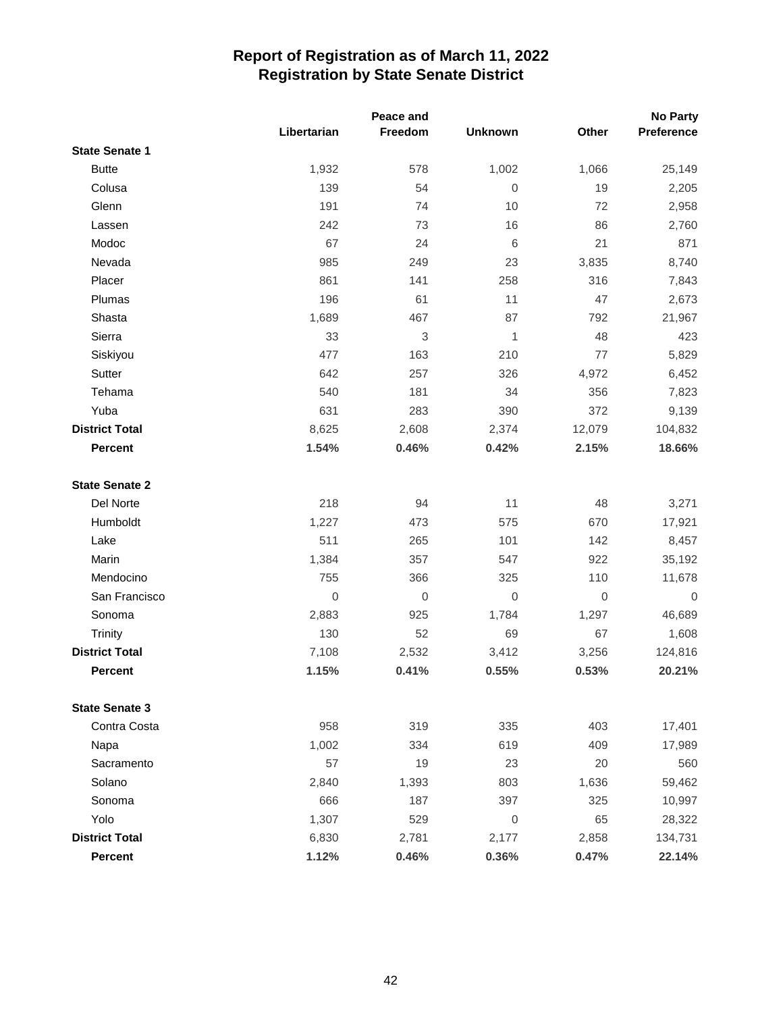|                       |                | Peace and        |                |                  | <b>No Party</b> |
|-----------------------|----------------|------------------|----------------|------------------|-----------------|
|                       | Libertarian    | Freedom          | <b>Unknown</b> | Other            | Preference      |
| <b>State Senate 1</b> |                |                  |                |                  |                 |
| <b>Butte</b>          | 1,932          | 578              | 1,002          | 1,066            | 25,149          |
| Colusa                | 139            | 54               | $\mathbf 0$    | 19               | 2,205           |
| Glenn                 | 191            | 74               | 10             | 72               | 2,958           |
| Lassen                | 242            | 73               | 16             | 86               | 2,760           |
| Modoc                 | 67             | 24               | 6              | 21               | 871             |
| Nevada                | 985            | 249              | 23             | 3,835            | 8,740           |
| Placer                | 861            | 141              | 258            | 316              | 7,843           |
| Plumas                | 196            | 61               | 11             | 47               | 2,673           |
| Shasta                | 1,689          | 467              | 87             | 792              | 21,967          |
| Sierra                | 33             | 3                | 1              | 48               | 423             |
| Siskiyou              | 477            | 163              | 210            | 77               | 5,829           |
| Sutter                | 642            | 257              | 326            | 4,972            | 6,452           |
| Tehama                | 540            | 181              | 34             | 356              | 7,823           |
| Yuba                  | 631            | 283              | 390            | 372              | 9,139           |
| <b>District Total</b> | 8,625          | 2,608            | 2,374          | 12,079           | 104,832         |
| <b>Percent</b>        | 1.54%          | 0.46%            | 0.42%          | 2.15%            | 18.66%          |
| <b>State Senate 2</b> |                |                  |                |                  |                 |
| Del Norte             | 218            | 94               | 11             | 48               | 3,271           |
| Humboldt              | 1,227          | 473              | 575            | 670              | 17,921          |
| Lake                  | 511            | 265              | 101            | 142              | 8,457           |
| Marin                 | 1,384          | 357              | 547            | 922              | 35,192          |
| Mendocino             | 755            | 366              | 325            | 110              | 11,678          |
| San Francisco         | $\overline{0}$ | $\boldsymbol{0}$ | 0              | $\boldsymbol{0}$ | $\overline{0}$  |
| Sonoma                | 2,883          | 925              | 1,784          | 1,297            | 46,689          |
| <b>Trinity</b>        | 130            | 52               | 69             | 67               | 1,608           |
| <b>District Total</b> | 7,108          | 2,532            | 3,412          | 3,256            | 124,816         |
| <b>Percent</b>        | 1.15%          | 0.41%            | 0.55%          | 0.53%            | 20.21%          |
| <b>State Senate 3</b> |                |                  |                |                  |                 |
| Contra Costa          | 958            | 319              | 335            | 403              | 17,401          |
| Napa                  | 1,002          | 334              | 619            | 409              | 17,989          |
| Sacramento            | 57             | 19               | 23             | 20               | 560             |
| Solano                | 2,840          | 1,393            | 803            | 1,636            | 59,462          |
| Sonoma                | 666            | 187              | 397            | 325              | 10,997          |
| Yolo                  | 1,307          | 529              | 0              | 65               | 28,322          |
| <b>District Total</b> | 6,830          | 2,781            | 2,177          | 2,858            | 134,731         |
| Percent               | 1.12%          | 0.46%            | 0.36%          | 0.47%            | 22.14%          |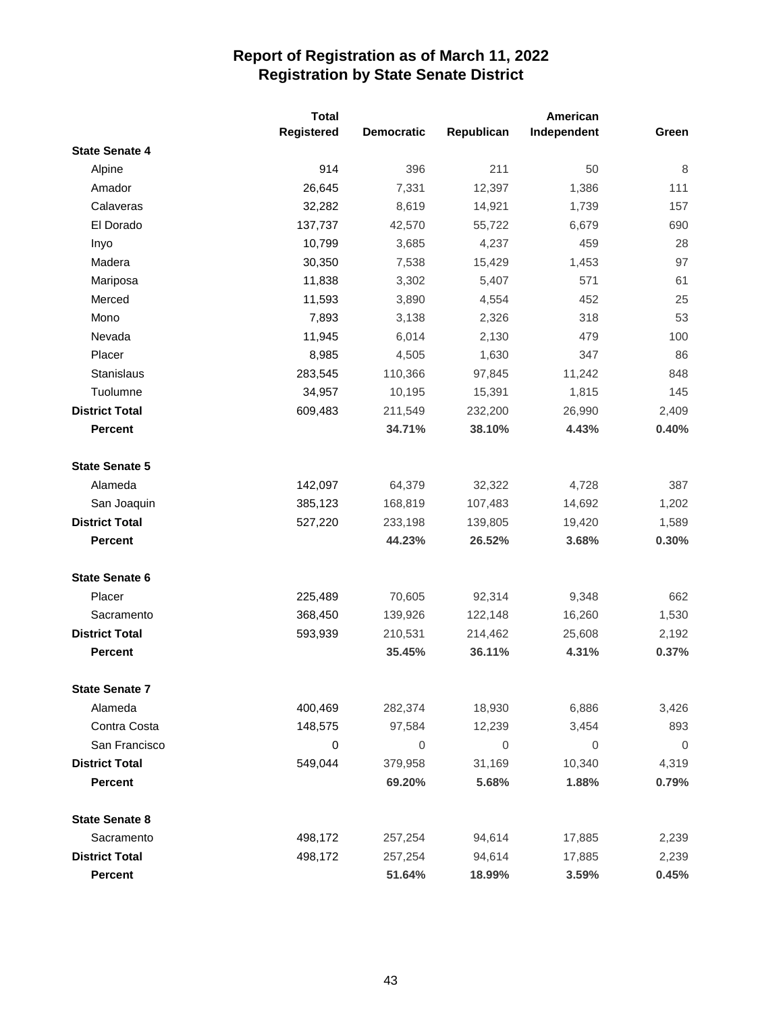|                       | <b>Total</b> |                   | American    |             |                |
|-----------------------|--------------|-------------------|-------------|-------------|----------------|
|                       | Registered   | <b>Democratic</b> | Republican  | Independent | Green          |
| <b>State Senate 4</b> |              |                   |             |             |                |
| Alpine                | 914          | 396               | 211         | 50          | 8              |
| Amador                | 26,645       | 7,331             | 12,397      | 1,386       | 111            |
| Calaveras             | 32,282       | 8,619             | 14,921      | 1,739       | 157            |
| El Dorado             | 137,737      | 42,570            | 55,722      | 6,679       | 690            |
| Inyo                  | 10,799       | 3,685             | 4,237       | 459         | 28             |
| Madera                | 30,350       | 7,538             | 15,429      | 1,453       | 97             |
| Mariposa              | 11,838       | 3,302             | 5,407       | 571         | 61             |
| Merced                | 11,593       | 3,890             | 4,554       | 452         | 25             |
| Mono                  | 7,893        | 3,138             | 2,326       | 318         | 53             |
| Nevada                | 11,945       | 6,014             | 2,130       | 479         | 100            |
| Placer                | 8,985        | 4,505             | 1,630       | 347         | 86             |
| <b>Stanislaus</b>     | 283,545      | 110,366           | 97,845      | 11,242      | 848            |
| Tuolumne              | 34,957       | 10,195            | 15,391      | 1,815       | 145            |
| <b>District Total</b> | 609,483      | 211,549           | 232,200     | 26,990      | 2,409          |
| <b>Percent</b>        |              | 34.71%            | 38.10%      | 4.43%       | 0.40%          |
| <b>State Senate 5</b> |              |                   |             |             |                |
| Alameda               | 142,097      | 64,379            | 32,322      | 4,728       | 387            |
| San Joaquin           | 385,123      | 168,819           | 107,483     | 14,692      | 1,202          |
| <b>District Total</b> | 527,220      | 233,198           | 139,805     | 19,420      | 1,589          |
| <b>Percent</b>        |              | 44.23%            | 26.52%      | 3.68%       | 0.30%          |
| <b>State Senate 6</b> |              |                   |             |             |                |
| Placer                | 225,489      | 70,605            | 92,314      | 9,348       | 662            |
| Sacramento            | 368,450      | 139,926           | 122,148     | 16,260      | 1,530          |
| <b>District Total</b> | 593,939      | 210,531           | 214,462     | 25,608      | 2,192          |
| <b>Percent</b>        |              | 35.45%            | 36.11%      | 4.31%       | 0.37%          |
| <b>State Senate 7</b> |              |                   |             |             |                |
| Alameda               | 400,469      | 282,374           | 18,930      | 6,886       | 3,426          |
| Contra Costa          | 148,575      | 97,584            | 12,239      | 3,454       | 893            |
| San Francisco         | 0            | 0                 | $\mathbf 0$ | 0           | $\overline{0}$ |
| <b>District Total</b> | 549,044      | 379,958           | 31,169      | 10,340      | 4,319          |
| <b>Percent</b>        |              | 69.20%            | 5.68%       | 1.88%       | 0.79%          |
| <b>State Senate 8</b> |              |                   |             |             |                |
| Sacramento            | 498,172      | 257,254           | 94,614      | 17,885      | 2,239          |
| <b>District Total</b> | 498,172      | 257,254           | 94,614      | 17,885      | 2,239          |
| Percent               |              | 51.64%            | 18.99%      | 3.59%       | 0.45%          |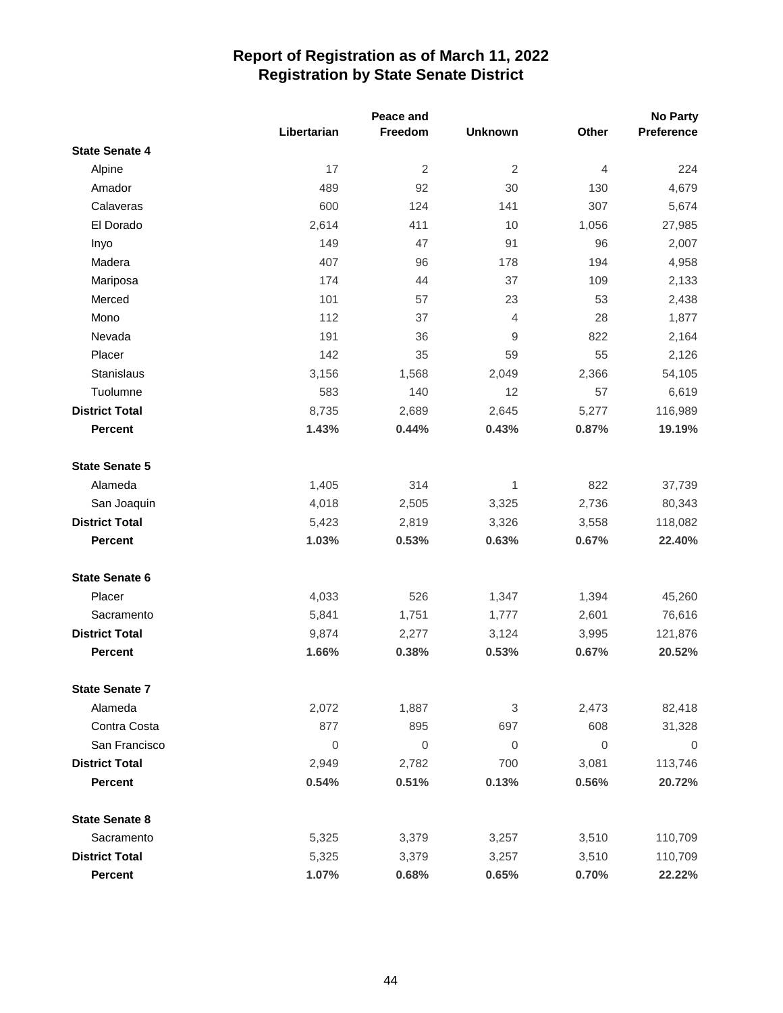|                       |                  | Peace and        |                |                  | <b>No Party</b> |
|-----------------------|------------------|------------------|----------------|------------------|-----------------|
|                       | Libertarian      | Freedom          | <b>Unknown</b> | Other            | Preference      |
| <b>State Senate 4</b> |                  |                  |                |                  |                 |
| Alpine                | 17               | $\overline{2}$   | $\overline{2}$ | $\overline{4}$   | 224             |
| Amador                | 489              | 92               | 30             | 130              | 4,679           |
| Calaveras             | 600              | 124              | 141            | 307              | 5,674           |
| El Dorado             | 2,614            | 411              | 10             | 1,056            | 27,985          |
| Inyo                  | 149              | 47               | 91             | 96               | 2,007           |
| Madera                | 407              | 96               | 178            | 194              | 4,958           |
| Mariposa              | 174              | 44               | 37             | 109              | 2,133           |
| Merced                | 101              | 57               | 23             | 53               | 2,438           |
| Mono                  | 112              | 37               | $\overline{4}$ | 28               | 1,877           |
| Nevada                | 191              | 36               | 9              | 822              | 2,164           |
| Placer                | 142              | 35               | 59             | 55               | 2,126           |
| Stanislaus            | 3,156            | 1,568            | 2,049          | 2,366            | 54,105          |
| Tuolumne              | 583              | 140              | 12             | 57               | 6,619           |
| <b>District Total</b> | 8,735            | 2,689            | 2,645          | 5,277            | 116,989         |
| <b>Percent</b>        | 1.43%            | 0.44%            | 0.43%          | 0.87%            | 19.19%          |
| <b>State Senate 5</b> |                  |                  |                |                  |                 |
| Alameda               | 1,405            | 314              | 1              | 822              | 37,739          |
| San Joaquin           | 4,018            | 2,505            | 3,325          | 2,736            | 80,343          |
| <b>District Total</b> | 5,423            | 2,819            | 3,326          | 3,558            | 118,082         |
| <b>Percent</b>        | 1.03%            | 0.53%            | 0.63%          | 0.67%            | 22.40%          |
| <b>State Senate 6</b> |                  |                  |                |                  |                 |
| Placer                | 4,033            | 526              | 1,347          | 1,394            | 45,260          |
| Sacramento            | 5,841            | 1,751            | 1,777          | 2,601            | 76,616          |
| <b>District Total</b> | 9,874            | 2,277            | 3,124          | 3,995            | 121,876         |
| Percent               | 1.66%            | 0.38%            | 0.53%          | 0.67%            | 20.52%          |
| <b>State Senate 7</b> |                  |                  |                |                  |                 |
| Alameda               | 2,072            | 1,887            | 3              | 2,473            | 82,418          |
| Contra Costa          | 877              | 895              | 697            | 608              | 31,328          |
| San Francisco         | $\boldsymbol{0}$ | $\boldsymbol{0}$ | $\mathbf{0}$   | $\boldsymbol{0}$ | 0               |
| <b>District Total</b> | 2,949            | 2,782            | 700            | 3,081            | 113,746         |
| <b>Percent</b>        | 0.54%            | 0.51%            | 0.13%          | 0.56%            | 20.72%          |
| <b>State Senate 8</b> |                  |                  |                |                  |                 |
| Sacramento            | 5,325            | 3,379            | 3,257          | 3,510            | 110,709         |
| <b>District Total</b> | 5,325            | 3,379            | 3,257          | 3,510            | 110,709         |
| Percent               | 1.07%            | 0.68%            | 0.65%          | 0.70%            | 22.22%          |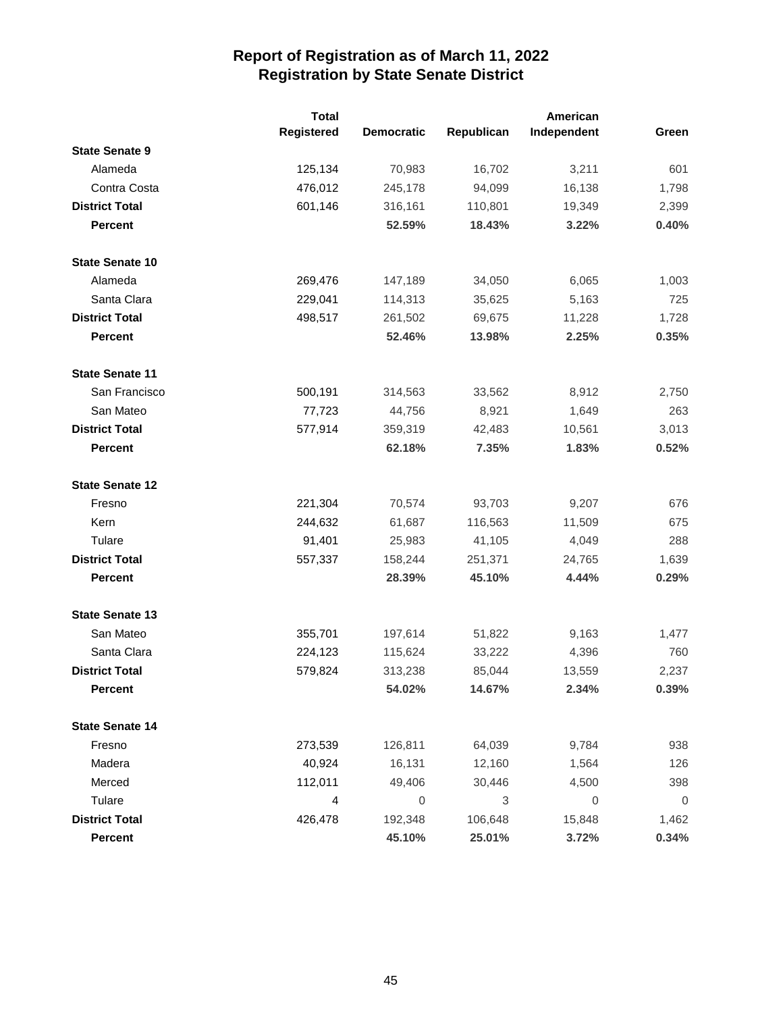|                        | <b>Total</b> |                   |            | American         |             |
|------------------------|--------------|-------------------|------------|------------------|-------------|
|                        | Registered   | <b>Democratic</b> | Republican | Independent      | Green       |
| <b>State Senate 9</b>  |              |                   |            |                  |             |
| Alameda                | 125,134      | 70,983            | 16,702     | 3,211            | 601         |
| Contra Costa           | 476,012      | 245,178           | 94,099     | 16,138           | 1,798       |
| <b>District Total</b>  | 601,146      | 316,161           | 110,801    | 19,349           | 2,399       |
| <b>Percent</b>         |              | 52.59%            | 18.43%     | 3.22%            | 0.40%       |
| <b>State Senate 10</b> |              |                   |            |                  |             |
| Alameda                | 269,476      | 147,189           | 34,050     | 6,065            | 1,003       |
| Santa Clara            | 229,041      | 114,313           | 35,625     | 5,163            | 725         |
| <b>District Total</b>  | 498,517      | 261,502           | 69,675     | 11,228           | 1,728       |
| <b>Percent</b>         |              | 52.46%            | 13.98%     | 2.25%            | 0.35%       |
| <b>State Senate 11</b> |              |                   |            |                  |             |
| San Francisco          | 500,191      | 314,563           | 33,562     | 8,912            | 2,750       |
| San Mateo              | 77,723       | 44,756            | 8,921      | 1,649            | 263         |
| <b>District Total</b>  | 577,914      | 359,319           | 42,483     | 10,561           | 3,013       |
| <b>Percent</b>         |              | 62.18%            | 7.35%      | 1.83%            | 0.52%       |
| <b>State Senate 12</b> |              |                   |            |                  |             |
| Fresno                 | 221,304      | 70,574            | 93,703     | 9,207            | 676         |
| Kern                   | 244,632      | 61,687            | 116,563    | 11,509           | 675         |
| Tulare                 | 91,401       | 25,983            | 41,105     | 4,049            | 288         |
| <b>District Total</b>  | 557,337      | 158,244           | 251,371    | 24,765           | 1,639       |
| <b>Percent</b>         |              | 28.39%            | 45.10%     | 4.44%            | 0.29%       |
| <b>State Senate 13</b> |              |                   |            |                  |             |
| San Mateo              | 355,701      | 197,614           | 51,822     | 9,163            | 1,477       |
| Santa Clara            | 224,123      | 115,624           | 33,222     | 4,396            | 760         |
| <b>District Total</b>  | 579,824      | 313,238           | 85,044     | 13,559           | 2,237       |
| <b>Percent</b>         |              | 54.02%            | 14.67%     | 2.34%            | 0.39%       |
| <b>State Senate 14</b> |              |                   |            |                  |             |
| Fresno                 | 273,539      | 126,811           | 64,039     | 9,784            | 938         |
| Madera                 | 40,924       | 16,131            | 12,160     | 1,564            | 126         |
| Merced                 | 112,011      | 49,406            | 30,446     | 4,500            | 398         |
| Tulare                 | 4            | $\mathbf 0$       | 3          | $\boldsymbol{0}$ | $\mathbf 0$ |
| <b>District Total</b>  | 426,478      | 192,348           | 106,648    | 15,848           | 1,462       |
| Percent                |              | 45.10%            | 25.01%     | 3.72%            | 0.34%       |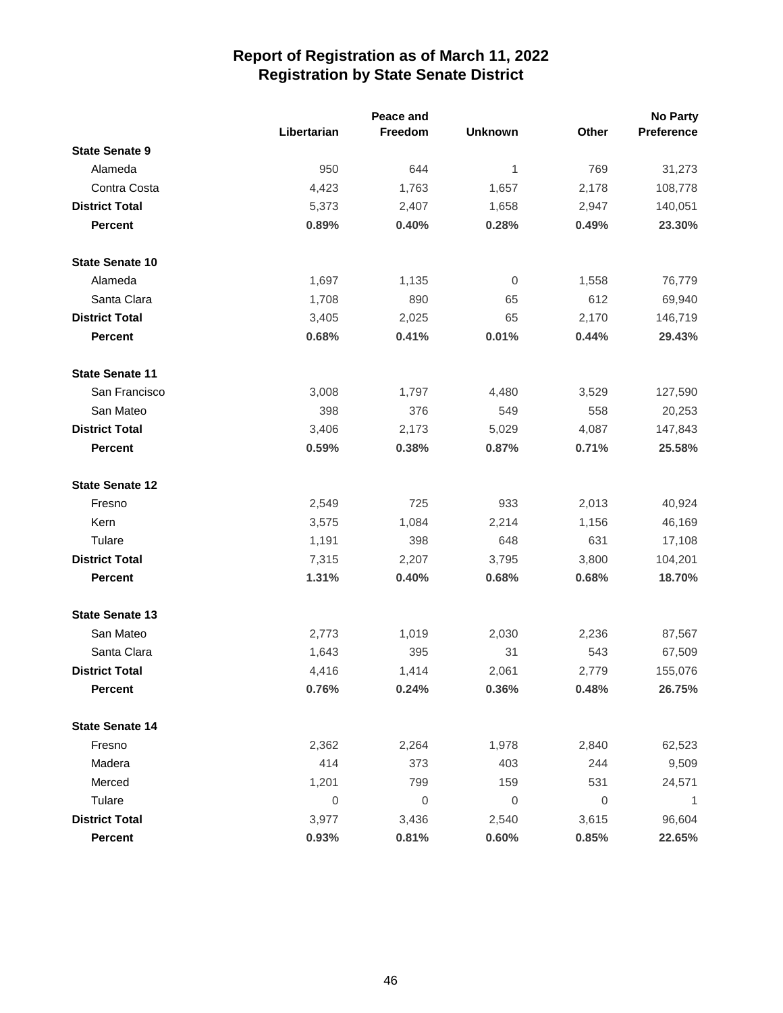|                        |             | Peace and   |                |                  | <b>No Party</b> |
|------------------------|-------------|-------------|----------------|------------------|-----------------|
|                        | Libertarian | Freedom     | <b>Unknown</b> | Other            | Preference      |
| <b>State Senate 9</b>  |             |             |                |                  |                 |
| Alameda                | 950         | 644         | 1              | 769              | 31,273          |
| Contra Costa           | 4,423       | 1,763       | 1,657          | 2,178            | 108,778         |
| <b>District Total</b>  | 5,373       | 2,407       | 1,658          | 2,947            | 140,051         |
| <b>Percent</b>         | 0.89%       | 0.40%       | 0.28%          | 0.49%            | 23.30%          |
| <b>State Senate 10</b> |             |             |                |                  |                 |
| Alameda                | 1,697       | 1,135       | 0              | 1,558            | 76,779          |
| Santa Clara            | 1,708       | 890         | 65             | 612              | 69,940          |
| <b>District Total</b>  | 3,405       | 2,025       | 65             | 2,170            | 146,719         |
| <b>Percent</b>         | 0.68%       | 0.41%       | 0.01%          | 0.44%            | 29.43%          |
| <b>State Senate 11</b> |             |             |                |                  |                 |
| San Francisco          | 3,008       | 1,797       | 4,480          | 3,529            | 127,590         |
| San Mateo              | 398         | 376         | 549            | 558              | 20,253          |
| <b>District Total</b>  | 3,406       | 2,173       | 5,029          | 4,087            | 147,843         |
| <b>Percent</b>         | 0.59%       | 0.38%       | 0.87%          | 0.71%            | 25.58%          |
| <b>State Senate 12</b> |             |             |                |                  |                 |
| Fresno                 | 2,549       | 725         | 933            | 2,013            | 40,924          |
| Kern                   | 3,575       | 1,084       | 2,214          | 1,156            | 46,169          |
| Tulare                 | 1,191       | 398         | 648            | 631              | 17,108          |
| <b>District Total</b>  | 7,315       | 2,207       | 3,795          | 3,800            | 104,201         |
| <b>Percent</b>         | 1.31%       | 0.40%       | 0.68%          | 0.68%            | 18.70%          |
| <b>State Senate 13</b> |             |             |                |                  |                 |
| San Mateo              | 2,773       | 1,019       | 2,030          | 2,236            | 87,567          |
| Santa Clara            | 1,643       | 395         | 31             | 543              | 67,509          |
| <b>District Total</b>  | 4,416       | 1,414       | 2,061          | 2,779            | 155,076         |
| <b>Percent</b>         | 0.76%       | 0.24%       | 0.36%          | 0.48%            | 26.75%          |
| <b>State Senate 14</b> |             |             |                |                  |                 |
| Fresno                 | 2,362       | 2,264       | 1,978          | 2,840            | 62,523          |
| Madera                 | 414         | 373         | 403            | 244              | 9,509           |
| Merced                 | 1,201       | 799         | 159            | 531              | 24,571          |
| Tulare                 | $\mathbf 0$ | $\mathbf 0$ | 0              | $\boldsymbol{0}$ | 1               |
| <b>District Total</b>  | 3,977       | 3,436       | 2,540          | 3,615            | 96,604          |
| <b>Percent</b>         | 0.93%       | 0.81%       | 0.60%          | 0.85%            | 22.65%          |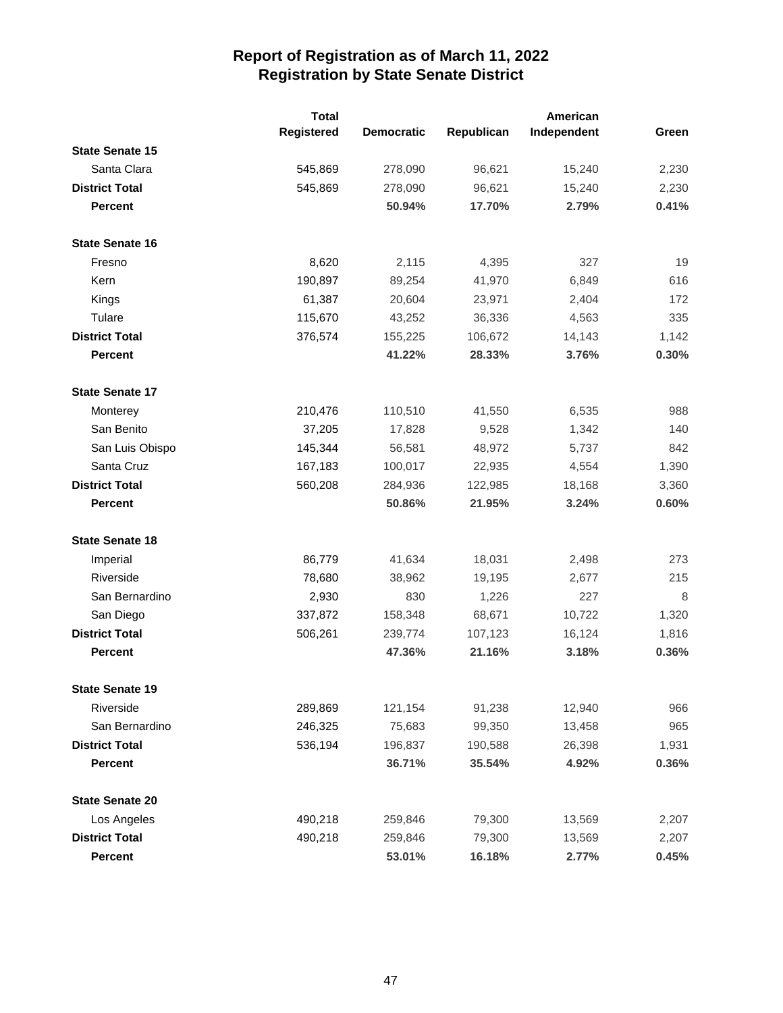|                        | <b>Total</b> |                   | American   |             |       |
|------------------------|--------------|-------------------|------------|-------------|-------|
|                        | Registered   | <b>Democratic</b> | Republican | Independent | Green |
| <b>State Senate 15</b> |              |                   |            |             |       |
| Santa Clara            | 545,869      | 278,090           | 96,621     | 15,240      | 2,230 |
| <b>District Total</b>  | 545,869      | 278,090           | 96,621     | 15,240      | 2,230 |
| <b>Percent</b>         |              | 50.94%            | 17.70%     | 2.79%       | 0.41% |
| <b>State Senate 16</b> |              |                   |            |             |       |
| Fresno                 | 8,620        | 2,115             | 4,395      | 327         | 19    |
| Kern                   | 190,897      | 89,254            | 41,970     | 6,849       | 616   |
| Kings                  | 61,387       | 20,604            | 23,971     | 2,404       | 172   |
| Tulare                 | 115,670      | 43,252            | 36,336     | 4,563       | 335   |
| <b>District Total</b>  | 376,574      | 155,225           | 106,672    | 14,143      | 1,142 |
| <b>Percent</b>         |              | 41.22%            | 28.33%     | 3.76%       | 0.30% |
| <b>State Senate 17</b> |              |                   |            |             |       |
| Monterey               | 210,476      | 110,510           | 41,550     | 6,535       | 988   |
| San Benito             | 37,205       | 17,828            | 9,528      | 1,342       | 140   |
| San Luis Obispo        | 145,344      | 56,581            | 48,972     | 5,737       | 842   |
| Santa Cruz             | 167,183      | 100,017           | 22,935     | 4,554       | 1,390 |
| <b>District Total</b>  | 560,208      | 284,936           | 122,985    | 18,168      | 3,360 |
| <b>Percent</b>         |              | 50.86%            | 21.95%     | 3.24%       | 0.60% |
| <b>State Senate 18</b> |              |                   |            |             |       |
| Imperial               | 86,779       | 41,634            | 18,031     | 2,498       | 273   |
| Riverside              | 78,680       | 38,962            | 19,195     | 2,677       | 215   |
| San Bernardino         | 2,930        | 830               | 1,226      | 227         | 8     |
| San Diego              | 337,872      | 158,348           | 68,671     | 10,722      | 1,320 |
| <b>District Total</b>  | 506,261      | 239,774           | 107,123    | 16,124      | 1,816 |
| <b>Percent</b>         |              | 47.36%            | 21.16%     | 3.18%       | 0.36% |
| <b>State Senate 19</b> |              |                   |            |             |       |
| Riverside              | 289,869      | 121,154           | 91,238     | 12,940      | 966   |
| San Bernardino         | 246,325      | 75,683            | 99,350     | 13,458      | 965   |
| <b>District Total</b>  | 536,194      | 196,837           | 190,588    | 26,398      | 1,931 |
| <b>Percent</b>         |              | 36.71%            | 35.54%     | 4.92%       | 0.36% |
| <b>State Senate 20</b> |              |                   |            |             |       |
| Los Angeles            | 490,218      | 259,846           | 79,300     | 13,569      | 2,207 |
| <b>District Total</b>  | 490,218      | 259,846           | 79,300     | 13,569      | 2,207 |
| Percent                |              | 53.01%            | 16.18%     | 2.77%       | 0.45% |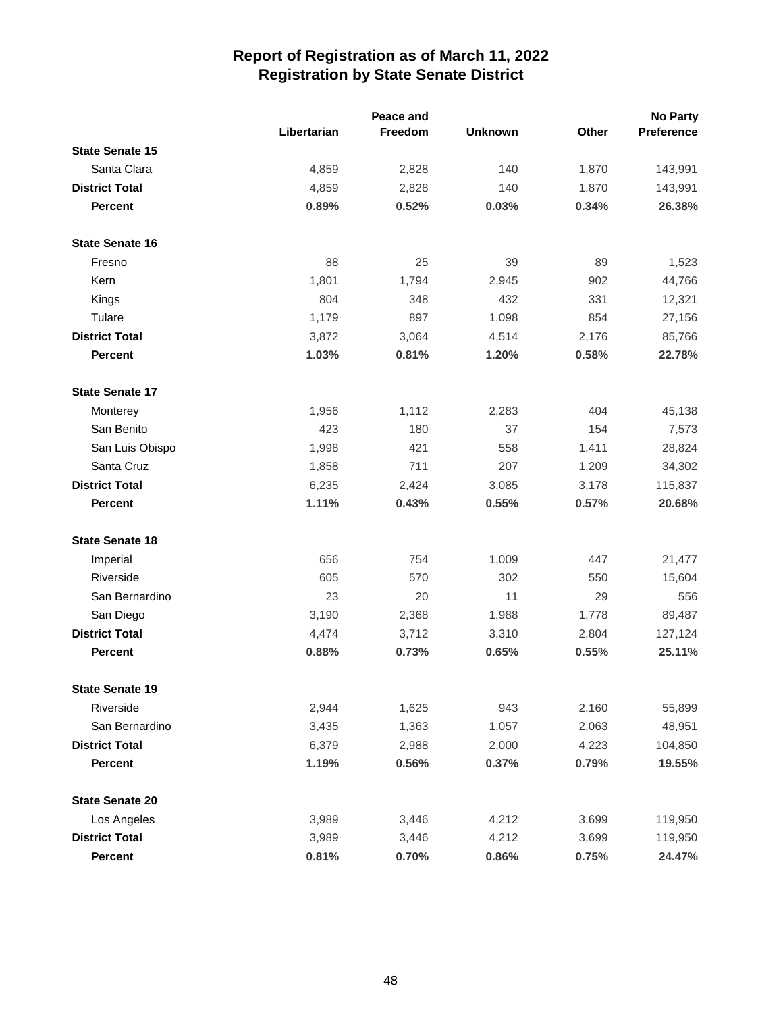|                        |             | Peace and |                |       | <b>No Party</b> |
|------------------------|-------------|-----------|----------------|-------|-----------------|
|                        | Libertarian | Freedom   | <b>Unknown</b> | Other | Preference      |
| <b>State Senate 15</b> |             |           |                |       |                 |
| Santa Clara            | 4,859       | 2,828     | 140            | 1,870 | 143,991         |
| <b>District Total</b>  | 4,859       | 2,828     | 140            | 1,870 | 143,991         |
| <b>Percent</b>         | 0.89%       | 0.52%     | 0.03%          | 0.34% | 26.38%          |
| <b>State Senate 16</b> |             |           |                |       |                 |
| Fresno                 | 88          | 25        | 39             | 89    | 1,523           |
| Kern                   | 1,801       | 1,794     | 2,945          | 902   | 44,766          |
| Kings                  | 804         | 348       | 432            | 331   | 12,321          |
| Tulare                 | 1,179       | 897       | 1,098          | 854   | 27,156          |
| <b>District Total</b>  | 3,872       | 3,064     | 4,514          | 2,176 | 85,766          |
| <b>Percent</b>         | 1.03%       | 0.81%     | 1.20%          | 0.58% | 22.78%          |
| <b>State Senate 17</b> |             |           |                |       |                 |
| Monterey               | 1,956       | 1,112     | 2,283          | 404   | 45,138          |
| San Benito             | 423         | 180       | 37             | 154   | 7,573           |
| San Luis Obispo        | 1,998       | 421       | 558            | 1,411 | 28,824          |
| Santa Cruz             | 1,858       | 711       | 207            | 1,209 | 34,302          |
| <b>District Total</b>  | 6,235       | 2,424     | 3,085          | 3,178 | 115,837         |
| <b>Percent</b>         | 1.11%       | 0.43%     | 0.55%          | 0.57% | 20.68%          |
| <b>State Senate 18</b> |             |           |                |       |                 |
| Imperial               | 656         | 754       | 1,009          | 447   | 21,477          |
| Riverside              | 605         | 570       | 302            | 550   | 15,604          |
| San Bernardino         | 23          | 20        | 11             | 29    | 556             |
| San Diego              | 3,190       | 2,368     | 1,988          | 1,778 | 89,487          |
| <b>District Total</b>  | 4,474       | 3,712     | 3,310          | 2,804 | 127,124         |
| <b>Percent</b>         | 0.88%       | 0.73%     | 0.65%          | 0.55% | 25.11%          |
| <b>State Senate 19</b> |             |           |                |       |                 |
| Riverside              | 2,944       | 1,625     | 943            | 2,160 | 55,899          |
| San Bernardino         | 3,435       | 1,363     | 1,057          | 2,063 | 48,951          |
| <b>District Total</b>  | 6,379       | 2,988     | 2,000          | 4,223 | 104,850         |
| <b>Percent</b>         | 1.19%       | 0.56%     | 0.37%          | 0.79% | 19.55%          |
| <b>State Senate 20</b> |             |           |                |       |                 |
| Los Angeles            | 3,989       | 3,446     | 4,212          | 3,699 | 119,950         |
| <b>District Total</b>  | 3,989       | 3,446     | 4,212          | 3,699 | 119,950         |
| Percent                | 0.81%       | 0.70%     | 0.86%          | 0.75% | 24.47%          |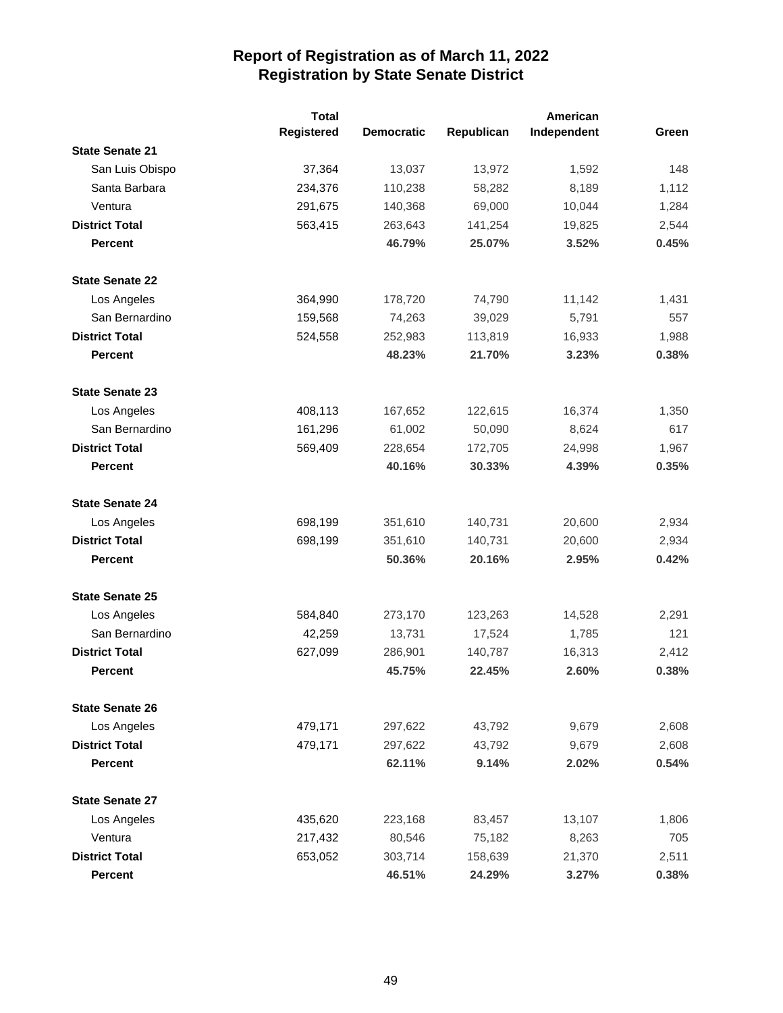|                        | <b>Total</b>      |                   |            | American    |       |
|------------------------|-------------------|-------------------|------------|-------------|-------|
|                        | <b>Registered</b> | <b>Democratic</b> | Republican | Independent | Green |
| <b>State Senate 21</b> |                   |                   |            |             |       |
| San Luis Obispo        | 37,364            | 13,037            | 13,972     | 1,592       | 148   |
| Santa Barbara          | 234,376           | 110,238           | 58,282     | 8,189       | 1,112 |
| Ventura                | 291,675           | 140,368           | 69,000     | 10,044      | 1,284 |
| <b>District Total</b>  | 563,415           | 263,643           | 141,254    | 19,825      | 2,544 |
| <b>Percent</b>         |                   | 46.79%            | 25.07%     | 3.52%       | 0.45% |
| <b>State Senate 22</b> |                   |                   |            |             |       |
| Los Angeles            | 364,990           | 178,720           | 74,790     | 11,142      | 1,431 |
| San Bernardino         | 159,568           | 74,263            | 39,029     | 5,791       | 557   |
| <b>District Total</b>  | 524,558           | 252,983           | 113,819    | 16,933      | 1,988 |
| <b>Percent</b>         |                   | 48.23%            | 21.70%     | 3.23%       | 0.38% |
| <b>State Senate 23</b> |                   |                   |            |             |       |
| Los Angeles            | 408,113           | 167,652           | 122,615    | 16,374      | 1,350 |
| San Bernardino         | 161,296           | 61,002            | 50,090     | 8,624       | 617   |
| <b>District Total</b>  | 569,409           | 228,654           | 172,705    | 24,998      | 1,967 |
| <b>Percent</b>         |                   | 40.16%            | 30.33%     | 4.39%       | 0.35% |
| <b>State Senate 24</b> |                   |                   |            |             |       |
| Los Angeles            | 698,199           | 351,610           | 140,731    | 20,600      | 2,934 |
| <b>District Total</b>  | 698,199           | 351,610           | 140,731    | 20,600      | 2,934 |
| <b>Percent</b>         |                   | 50.36%            | 20.16%     | 2.95%       | 0.42% |
| <b>State Senate 25</b> |                   |                   |            |             |       |
| Los Angeles            | 584,840           | 273,170           | 123,263    | 14,528      | 2,291 |
| San Bernardino         | 42,259            | 13,731            | 17,524     | 1,785       | 121   |
| <b>District Total</b>  | 627,099           | 286,901           | 140,787    | 16,313      | 2,412 |
| <b>Percent</b>         |                   | 45.75%            | 22.45%     | 2.60%       | 0.38% |
| <b>State Senate 26</b> |                   |                   |            |             |       |
| Los Angeles            | 479,171           | 297,622           | 43,792     | 9,679       | 2,608 |
| <b>District Total</b>  | 479,171           | 297,622           | 43,792     | 9,679       | 2,608 |
| <b>Percent</b>         |                   | 62.11%            | 9.14%      | 2.02%       | 0.54% |
| <b>State Senate 27</b> |                   |                   |            |             |       |
| Los Angeles            | 435,620           | 223,168           | 83,457     | 13,107      | 1,806 |
| Ventura                | 217,432           | 80,546            | 75,182     | 8,263       | 705   |
| <b>District Total</b>  | 653,052           | 303,714           | 158,639    | 21,370      | 2,511 |
| Percent                |                   | 46.51%            | 24.29%     | 3.27%       | 0.38% |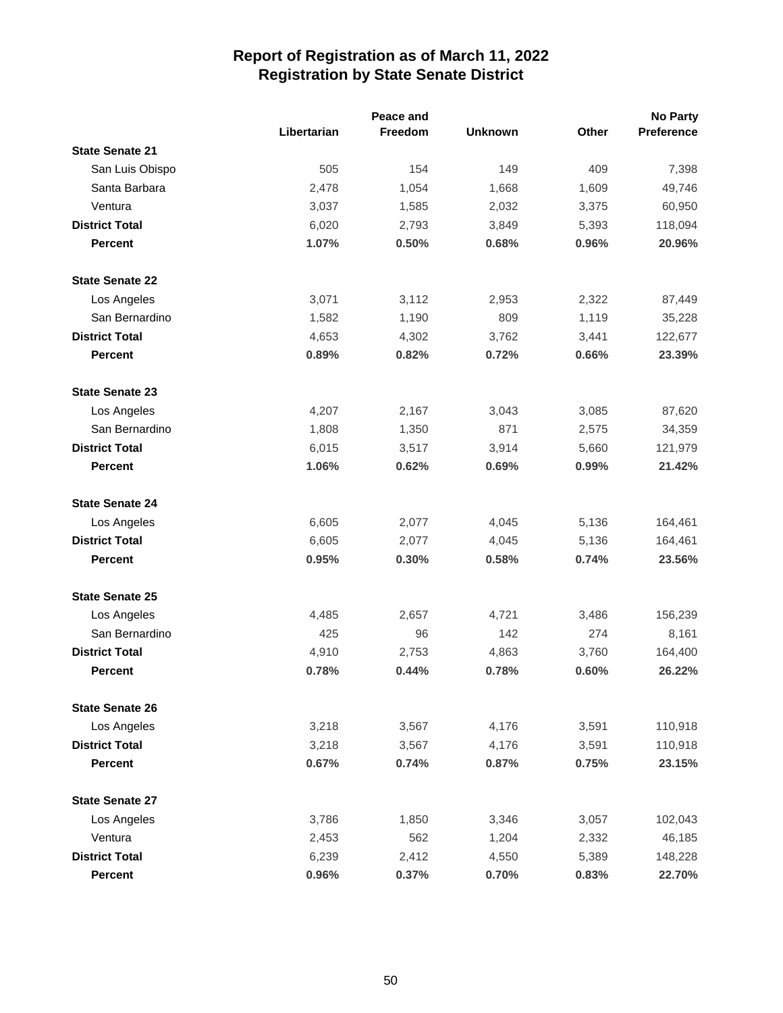|                        |             | Peace and |                |              | <b>No Party</b> |
|------------------------|-------------|-----------|----------------|--------------|-----------------|
|                        | Libertarian | Freedom   | <b>Unknown</b> | <b>Other</b> | Preference      |
| <b>State Senate 21</b> |             |           |                |              |                 |
| San Luis Obispo        | 505         | 154       | 149            | 409          | 7,398           |
| Santa Barbara          | 2,478       | 1,054     | 1,668          | 1,609        | 49,746          |
| Ventura                | 3,037       | 1,585     | 2,032          | 3,375        | 60,950          |
| <b>District Total</b>  | 6,020       | 2,793     | 3,849          | 5,393        | 118,094         |
| <b>Percent</b>         | 1.07%       | 0.50%     | 0.68%          | 0.96%        | 20.96%          |
| <b>State Senate 22</b> |             |           |                |              |                 |
| Los Angeles            | 3,071       | 3,112     | 2,953          | 2,322        | 87,449          |
| San Bernardino         | 1,582       | 1,190     | 809            | 1,119        | 35,228          |
| <b>District Total</b>  | 4,653       | 4,302     | 3,762          | 3,441        | 122,677         |
| <b>Percent</b>         | 0.89%       | 0.82%     | 0.72%          | 0.66%        | 23.39%          |
| <b>State Senate 23</b> |             |           |                |              |                 |
| Los Angeles            | 4,207       | 2,167     | 3,043          | 3,085        | 87,620          |
| San Bernardino         | 1,808       | 1,350     | 871            | 2,575        | 34,359          |
| <b>District Total</b>  | 6,015       | 3,517     | 3,914          | 5,660        | 121,979         |
| <b>Percent</b>         | 1.06%       | 0.62%     | 0.69%          | 0.99%        | 21.42%          |
| <b>State Senate 24</b> |             |           |                |              |                 |
| Los Angeles            | 6,605       | 2,077     | 4,045          | 5,136        | 164,461         |
| <b>District Total</b>  | 6,605       | 2,077     | 4,045          | 5,136        | 164,461         |
| <b>Percent</b>         | 0.95%       | 0.30%     | 0.58%          | 0.74%        | 23.56%          |
| <b>State Senate 25</b> |             |           |                |              |                 |
| Los Angeles            | 4,485       | 2,657     | 4,721          | 3,486        | 156,239         |
| San Bernardino         | 425         | 96        | 142            | 274          | 8,161           |
| <b>District Total</b>  | 4,910       | 2,753     | 4,863          | 3,760        | 164,400         |
| <b>Percent</b>         | 0.78%       | 0.44%     | 0.78%          | 0.60%        | 26.22%          |
| <b>State Senate 26</b> |             |           |                |              |                 |
| Los Angeles            | 3,218       | 3,567     | 4,176          | 3,591        | 110,918         |
| <b>District Total</b>  | 3,218       | 3,567     | 4,176          | 3,591        | 110,918         |
| <b>Percent</b>         | 0.67%       | 0.74%     | 0.87%          | 0.75%        | 23.15%          |
| <b>State Senate 27</b> |             |           |                |              |                 |
| Los Angeles            | 3,786       | 1,850     | 3,346          | 3,057        | 102,043         |
| Ventura                | 2,453       | 562       | 1,204          | 2,332        | 46,185          |
| <b>District Total</b>  | 6,239       | 2,412     | 4,550          | 5,389        | 148,228         |
| <b>Percent</b>         | 0.96%       | 0.37%     | 0.70%          | 0.83%        | 22.70%          |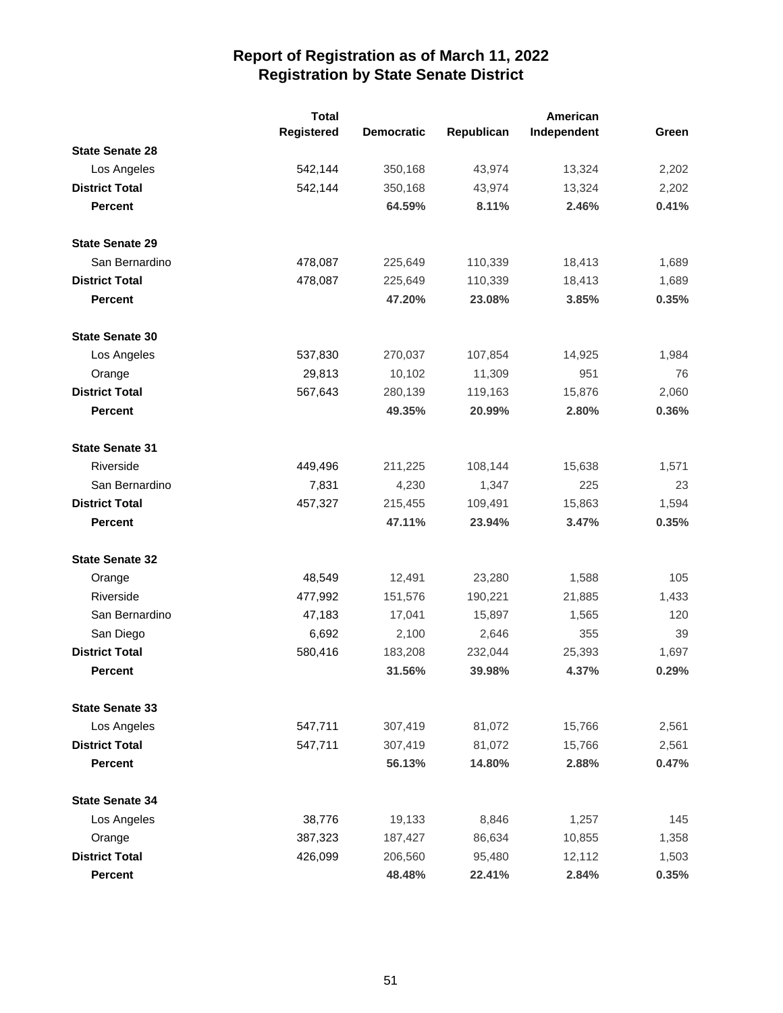|                        | <b>Total</b> | American          |            |             |       |
|------------------------|--------------|-------------------|------------|-------------|-------|
|                        | Registered   | <b>Democratic</b> | Republican | Independent | Green |
| <b>State Senate 28</b> |              |                   |            |             |       |
| Los Angeles            | 542,144      | 350,168           | 43,974     | 13,324      | 2,202 |
| <b>District Total</b>  | 542,144      | 350,168           | 43,974     | 13,324      | 2,202 |
| <b>Percent</b>         |              | 64.59%            | 8.11%      | 2.46%       | 0.41% |
| <b>State Senate 29</b> |              |                   |            |             |       |
| San Bernardino         | 478,087      | 225,649           | 110,339    | 18,413      | 1,689 |
| <b>District Total</b>  | 478,087      | 225,649           | 110,339    | 18,413      | 1,689 |
| <b>Percent</b>         |              | 47.20%            | 23.08%     | 3.85%       | 0.35% |
| <b>State Senate 30</b> |              |                   |            |             |       |
| Los Angeles            | 537,830      | 270,037           | 107,854    | 14,925      | 1,984 |
| Orange                 | 29,813       | 10,102            | 11,309     | 951         | 76    |
| <b>District Total</b>  | 567,643      | 280,139           | 119,163    | 15,876      | 2,060 |
| <b>Percent</b>         |              | 49.35%            | 20.99%     | 2.80%       | 0.36% |
| <b>State Senate 31</b> |              |                   |            |             |       |
| Riverside              | 449,496      | 211,225           | 108,144    | 15,638      | 1,571 |
| San Bernardino         | 7,831        | 4,230             | 1,347      | 225         | 23    |
| <b>District Total</b>  | 457,327      | 215,455           | 109,491    | 15,863      | 1,594 |
| <b>Percent</b>         |              | 47.11%            | 23.94%     | 3.47%       | 0.35% |
| <b>State Senate 32</b> |              |                   |            |             |       |
| Orange                 | 48,549       | 12,491            | 23,280     | 1,588       | 105   |
| Riverside              | 477,992      | 151,576           | 190,221    | 21,885      | 1,433 |
| San Bernardino         | 47,183       | 17,041            | 15,897     | 1,565       | 120   |
| San Diego              | 6,692        | 2,100             | 2,646      | 355         | 39    |
| <b>District Total</b>  | 580,416      | 183,208           | 232,044    | 25,393      | 1,697 |
| <b>Percent</b>         |              | 31.56%            | 39.98%     | 4.37%       | 0.29% |
| <b>State Senate 33</b> |              |                   |            |             |       |
| Los Angeles            | 547,711      | 307,419           | 81,072     | 15,766      | 2,561 |
| <b>District Total</b>  | 547,711      | 307,419           | 81,072     | 15,766      | 2,561 |
| <b>Percent</b>         |              | 56.13%            | 14.80%     | 2.88%       | 0.47% |
| <b>State Senate 34</b> |              |                   |            |             |       |
| Los Angeles            | 38,776       | 19,133            | 8,846      | 1,257       | 145   |
| Orange                 | 387,323      | 187,427           | 86,634     | 10,855      | 1,358 |
| <b>District Total</b>  | 426,099      | 206,560           | 95,480     | 12,112      | 1,503 |
| <b>Percent</b>         |              | 48.48%            | 22.41%     | 2.84%       | 0.35% |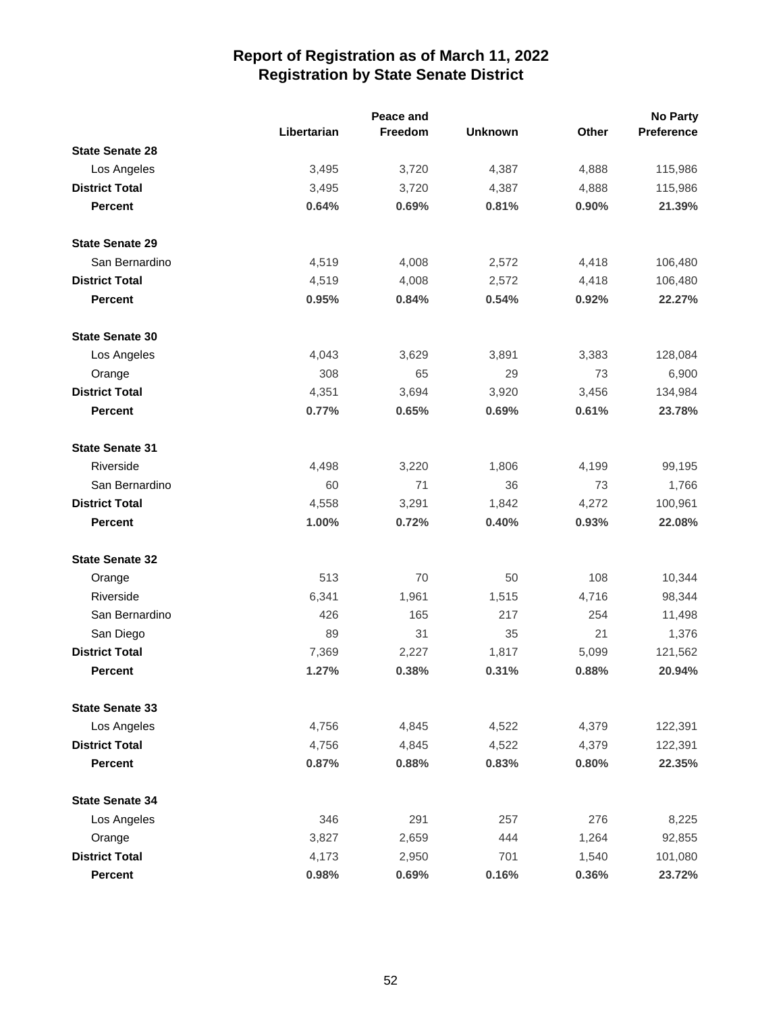|                        |             | Peace and |                |       | <b>No Party</b> |
|------------------------|-------------|-----------|----------------|-------|-----------------|
|                        | Libertarian | Freedom   | <b>Unknown</b> | Other | Preference      |
| <b>State Senate 28</b> |             |           |                |       |                 |
| Los Angeles            | 3,495       | 3,720     | 4,387          | 4,888 | 115,986         |
| <b>District Total</b>  | 3,495       | 3,720     | 4,387          | 4,888 | 115,986         |
| <b>Percent</b>         | 0.64%       | 0.69%     | 0.81%          | 0.90% | 21.39%          |
| <b>State Senate 29</b> |             |           |                |       |                 |
| San Bernardino         | 4,519       | 4,008     | 2,572          | 4,418 | 106,480         |
| <b>District Total</b>  | 4,519       | 4,008     | 2,572          | 4,418 | 106,480         |
| <b>Percent</b>         | 0.95%       | 0.84%     | 0.54%          | 0.92% | 22.27%          |
| <b>State Senate 30</b> |             |           |                |       |                 |
| Los Angeles            | 4,043       | 3,629     | 3,891          | 3,383 | 128,084         |
| Orange                 | 308         | 65        | 29             | 73    | 6,900           |
| <b>District Total</b>  | 4,351       | 3,694     | 3,920          | 3,456 | 134,984         |
| <b>Percent</b>         | 0.77%       | 0.65%     | 0.69%          | 0.61% | 23.78%          |
| <b>State Senate 31</b> |             |           |                |       |                 |
| Riverside              | 4,498       | 3,220     | 1,806          | 4,199 | 99,195          |
| San Bernardino         | 60          | 71        | 36             | 73    | 1,766           |
| <b>District Total</b>  | 4,558       | 3,291     | 1,842          | 4,272 | 100,961         |
| <b>Percent</b>         | 1.00%       | 0.72%     | 0.40%          | 0.93% | 22.08%          |
| <b>State Senate 32</b> |             |           |                |       |                 |
| Orange                 | 513         | 70        | 50             | 108   | 10,344          |
| Riverside              | 6,341       | 1,961     | 1,515          | 4,716 | 98,344          |
| San Bernardino         | 426         | 165       | 217            | 254   | 11,498          |
| San Diego              | 89          | 31        | 35             | 21    | 1,376           |
| <b>District Total</b>  | 7,369       | 2,227     | 1,817          | 5,099 | 121,562         |
| <b>Percent</b>         | 1.27%       | 0.38%     | 0.31%          | 0.88% | 20.94%          |
| <b>State Senate 33</b> |             |           |                |       |                 |
| Los Angeles            | 4,756       | 4,845     | 4,522          | 4,379 | 122,391         |
| <b>District Total</b>  | 4,756       | 4,845     | 4,522          | 4,379 | 122,391         |
| <b>Percent</b>         | 0.87%       | 0.88%     | 0.83%          | 0.80% | 22.35%          |
| <b>State Senate 34</b> |             |           |                |       |                 |
| Los Angeles            | 346         | 291       | 257            | 276   | 8,225           |
| Orange                 | 3,827       | 2,659     | 444            | 1,264 | 92,855          |
| <b>District Total</b>  | 4,173       | 2,950     | 701            | 1,540 | 101,080         |
| <b>Percent</b>         | 0.98%       | 0.69%     | 0.16%          | 0.36% | 23.72%          |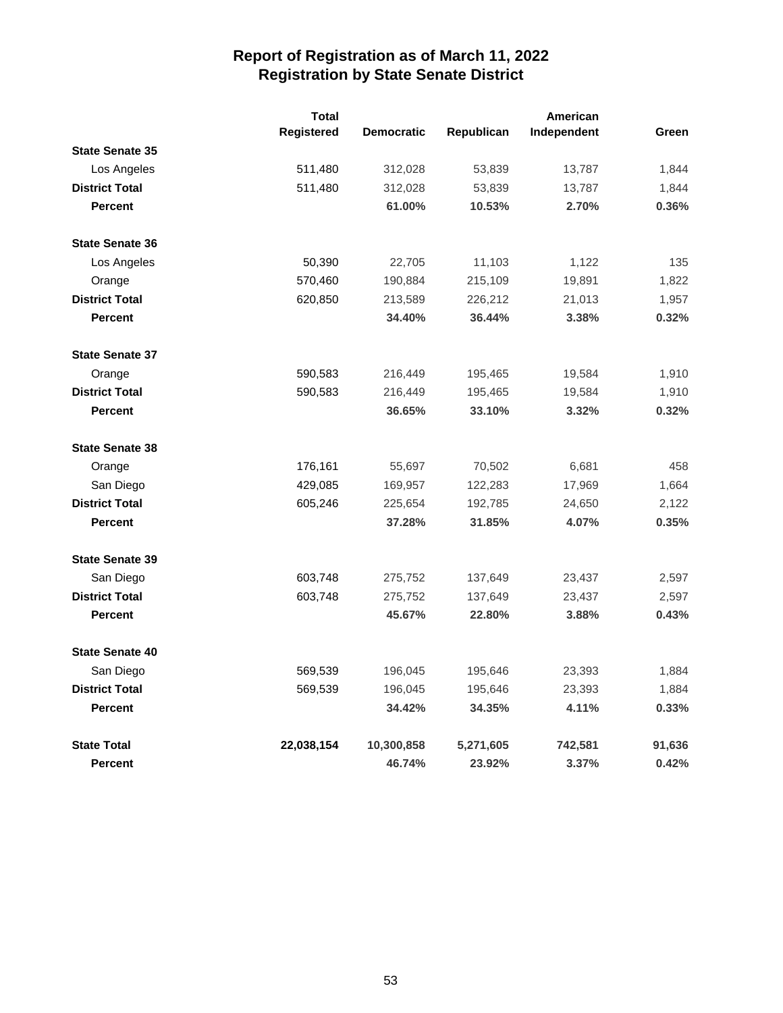|                        | <b>Total</b> |                   |            |             |        |
|------------------------|--------------|-------------------|------------|-------------|--------|
|                        | Registered   | <b>Democratic</b> | Republican | Independent | Green  |
| <b>State Senate 35</b> |              |                   |            |             |        |
| Los Angeles            | 511,480      | 312,028           | 53,839     | 13,787      | 1,844  |
| <b>District Total</b>  | 511,480      | 312,028           | 53,839     | 13,787      | 1,844  |
| <b>Percent</b>         |              | 61.00%            | 10.53%     | 2.70%       | 0.36%  |
| <b>State Senate 36</b> |              |                   |            |             |        |
| Los Angeles            | 50,390       | 22,705            | 11,103     | 1,122       | 135    |
| Orange                 | 570,460      | 190,884           | 215,109    | 19,891      | 1,822  |
| <b>District Total</b>  | 620,850      | 213,589           | 226,212    | 21,013      | 1,957  |
| <b>Percent</b>         |              | 34.40%            | 36.44%     | 3.38%       | 0.32%  |
| <b>State Senate 37</b> |              |                   |            |             |        |
| Orange                 | 590,583      | 216,449           | 195,465    | 19,584      | 1,910  |
| <b>District Total</b>  | 590,583      | 216,449           | 195,465    | 19,584      | 1,910  |
| <b>Percent</b>         |              | 36.65%            | 33.10%     | 3.32%       | 0.32%  |
| <b>State Senate 38</b> |              |                   |            |             |        |
| Orange                 | 176,161      | 55,697            | 70,502     | 6,681       | 458    |
| San Diego              | 429,085      | 169,957           | 122,283    | 17,969      | 1,664  |
| <b>District Total</b>  | 605,246      | 225,654           | 192,785    | 24,650      | 2,122  |
| <b>Percent</b>         |              | 37.28%            | 31.85%     | 4.07%       | 0.35%  |
| <b>State Senate 39</b> |              |                   |            |             |        |
| San Diego              | 603,748      | 275,752           | 137,649    | 23,437      | 2,597  |
| <b>District Total</b>  | 603,748      | 275,752           | 137,649    | 23,437      | 2,597  |
| <b>Percent</b>         |              | 45.67%            | 22.80%     | 3.88%       | 0.43%  |
| <b>State Senate 40</b> |              |                   |            |             |        |
| San Diego              | 569,539      | 196,045           | 195,646    | 23,393      | 1,884  |
| <b>District Total</b>  | 569,539      | 196,045           | 195,646    | 23,393      | 1,884  |
| <b>Percent</b>         |              | 34.42%            | 34.35%     | 4.11%       | 0.33%  |
| <b>State Total</b>     | 22,038,154   | 10,300,858        | 5,271,605  | 742,581     | 91,636 |
| <b>Percent</b>         |              | 46.74%            | 23.92%     | 3.37%       | 0.42%  |